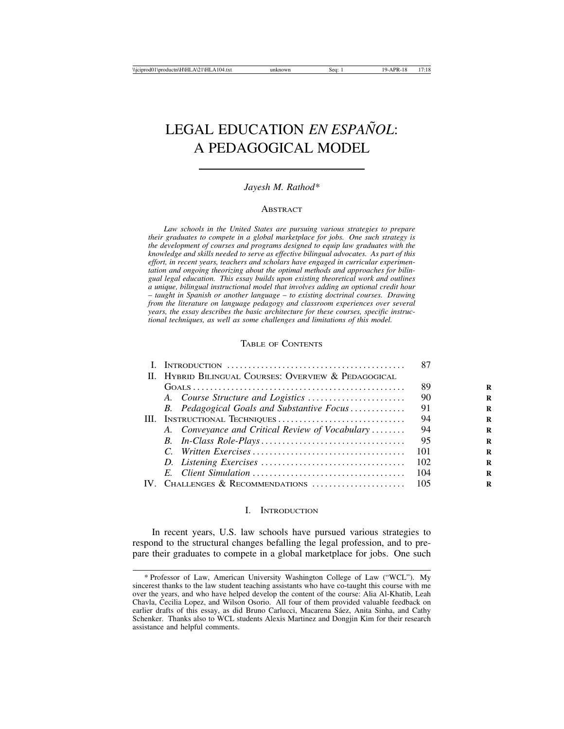# **LEGAL EDUCATION** *EN ESPAÑOL*: A PEDAGOGICAL MODEL

# *Jayesh M. Rathod\**

# **ABSTRACT**

*Law schools in the United States are pursuing various strategies to prepare their graduates to compete in a global marketplace for jobs. One such strategy is the development of courses and programs designed to equip law graduates with the knowledge and skills needed to serve as effective bilingual advocates. As part of this effort, in recent years, teachers and scholars have engaged in curricular experimentation and ongoing theorizing about the optimal methods and approaches for bilingual legal education. This essay builds upon existing theoretical work and outlines a unique, bilingual instructional model that involves adding an optional credit hour* – *taught in Spanish or another language* – *to existing doctrinal courses. Drawing from the literature on language pedagogy and classroom experiences over several years, the essay describes the basic architecture for these courses, specific instructional techniques, as well as some challenges and limitations of this model.*

# TABLE OF CONTENTS

|      |                                                      | 87  |
|------|------------------------------------------------------|-----|
|      | II. HYBRID BILINGUAL COURSES: OVERVIEW & PEDAGOGICAL |     |
|      |                                                      | 89  |
|      |                                                      | 90  |
|      | B. Pedagogical Goals and Substantive Focus           | 91  |
|      | III. INSTRUCTIONAL TECHNIQUES                        | 94  |
|      | A. Conveyance and Critical Review of Vocabulary      | 94  |
|      |                                                      | 95  |
|      |                                                      | 101 |
|      |                                                      | 102 |
|      |                                                      | 104 |
| IV - | CHALLENGES & RECOMMENDATIONS                         | 105 |

#### I. INTRODUCTION

In recent years, U.S. law schools have pursued various strategies to respond to the structural changes befalling the legal profession, and to prepare their graduates to compete in a global marketplace for jobs. One such

<sup>\*</sup> Professor of Law, American University Washington College of Law ("WCL"). My sincerest thanks to the law student teaching assistants who have co-taught this course with me over the years, and who have helped develop the content of the course: Alia Al-Khatib, Leah Chavla, Cecilia Lopez, and Wilson Osorio. All four of them provided valuable feedback on earlier drafts of this essay, as did Bruno Carlucci, Macarena Sáez, Anita Sinha, and Cathy Schenker. Thanks also to WCL students Alexis Martinez and Dongjin Kim for their research assistance and helpful comments.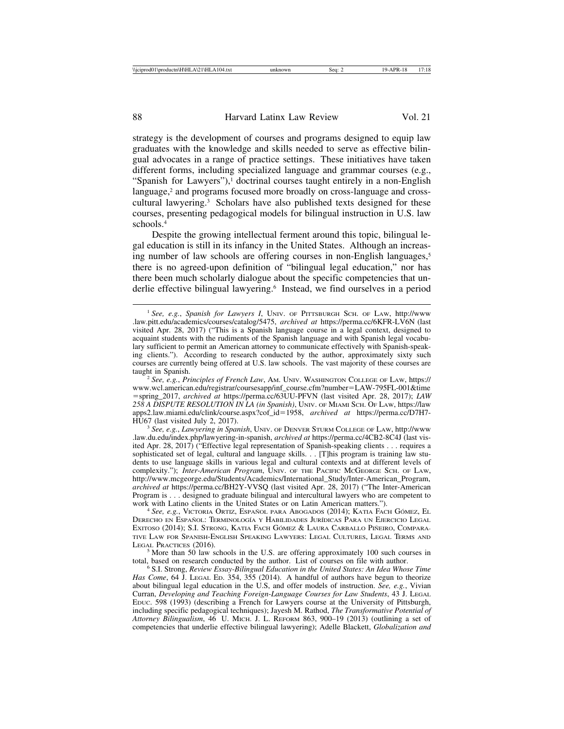strategy is the development of courses and programs designed to equip law graduates with the knowledge and skills needed to serve as effective bilingual advocates in a range of practice settings. These initiatives have taken different forms, including specialized language and grammar courses (e.g., "Spanish for Lawyers"), $\frac{1}{1}$  doctrinal courses taught entirely in a non-English language,<sup>2</sup> and programs focused more broadly on cross-language and crosscultural lawyering.3 Scholars have also published texts designed for these courses, presenting pedagogical models for bilingual instruction in U.S. law schools.4

Despite the growing intellectual ferment around this topic, bilingual legal education is still in its infancy in the United States. Although an increasing number of law schools are offering courses in non-English languages,<sup>5</sup> there is no agreed-upon definition of "bilingual legal education," nor has there been much scholarly dialogue about the specific competencies that underlie effective bilingual lawyering.6 Instead, we find ourselves in a period

HU67 (last visited July 2, 2017). <sup>3</sup> *See, e.g.*, *Lawyering in Spanish*, UNIV. OF DENVER STURM COLLEGE OF LAW, http://www .law.du.edu/index.php/lawyering-in-spanish, *archived at* https://perma.cc/4CB2-8C4J (last visited Apr. 28, 2017) ("Effective legal representation of Spanish-speaking clients . . . requires a sophisticated set of legal, cultural and language skills. . . [T]his program is training law students to use language skills in various legal and cultural contexts and at different levels of complexity."); *Inter-American Program*, UNIV. OF THE PACIFIC MCGEORGE SCH. OF LAW, http://www.mcgeorge.edu/Students/Academics/International\_Study/Inter-American\_Program, *archived at* https://perma.cc/BH2Y-VVSQ (last visited Apr. 28, 2017) ("The Inter-American Program is . . . designed to graduate bilingual and intercultural lawyers who are competent to work with Latino clients in the United States or on Latin American matters.").<br><sup>4</sup> *See, e.g.*, VICTORIA ORTIZ, ESPAÑOL PARA ABOGADOS (2014); KATIA FACH GÓMEZ, EL

DERECHO EN ESPAÑOL: TERMINOLOGÍA Y HABILIDADES JURÍDICAS PARA UN EJERCICIO LEGAL EXITOSO (2014); S.I. STRONG, KATIA FACH GÓMEZ & LAURA CARBALLO PIÑEIRO, COMPARA-TIVE LAW FOR SPANISH-ENGLISH SPEAKING LAWYERS: LEGAL CULTURES, LEGAL TERMS AND LEGAL PRACTICES (2016).

 $<sup>5</sup>$  More than 50 law schools in the U.S. are offering approximately 100 such courses in total, based on research conducted by the author. List of courses on file with author.</sup>

<sup>6</sup> S.I. Strong, *Review Essay-Bilingual Education in the United States: An Idea Whose Time Has Come*, 64 J. LEGAL ED. 354, 355 (2014). A handful of authors have begun to theorize about bilingual legal education in the U.S, and offer models of instruction. *See, e.g.*, Vivian Curran, *Developing and Teaching Foreign-Language Courses for Law Students*, 43 J. LEGAL EDUC. 598 (1993) (describing a French for Lawyers course at the University of Pittsburgh, including specific pedagogical techniques); Jayesh M. Rathod, *The Transformative Potential of Attorney Bilingualism*, 46 U. MICH. J. L. REFORM 863, 900–19 (2013) (outlining a set of competencies that underlie effective bilingual lawyering); Adelle Blackett, *Globalization and*

<sup>1</sup> *See, e.g.*, *Spanish for Lawyers I*, UNIV. OF PITTSBURGH SCH. OF LAW, http://www .law.pitt.edu/academics/courses/catalog/5475, *archived at* https://perma.cc/6KFR-LV6N (last visited Apr. 28, 2017) ("This is a Spanish language course in a legal context, designed to acquaint students with the rudiments of the Spanish language and with Spanish legal vocabulary sufficient to permit an American attorney to communicate effectively with Spanish-speaking clients."). According to research conducted by the author, approximately sixty such courses are currently being offered at U.S. law schools. The vast majority of these courses are taught in Spanish. <sup>2</sup> *See, e.g.*, *Principles of French Law*, AM. UNIV. WASHINGTON COLLEGE OF LAW, https://

www.wcl.american.edu/registrar/coursesapp/inf\_course.cfm?number=LAW-795FL-001&time =spring\_2017, *archived at* https://perma.cc/63UU-PFVN (last visited Apr. 28, 2017); *LAW 258 A DISPUTE RESOLUTION IN LA (in Spanish)*, UNIV. OF MIAMI SCH. OF LAW, https://law apps2.law.miami.edu/clink/course.aspx?cof\_id=1958, *archived at* https://perma.cc/D7H7-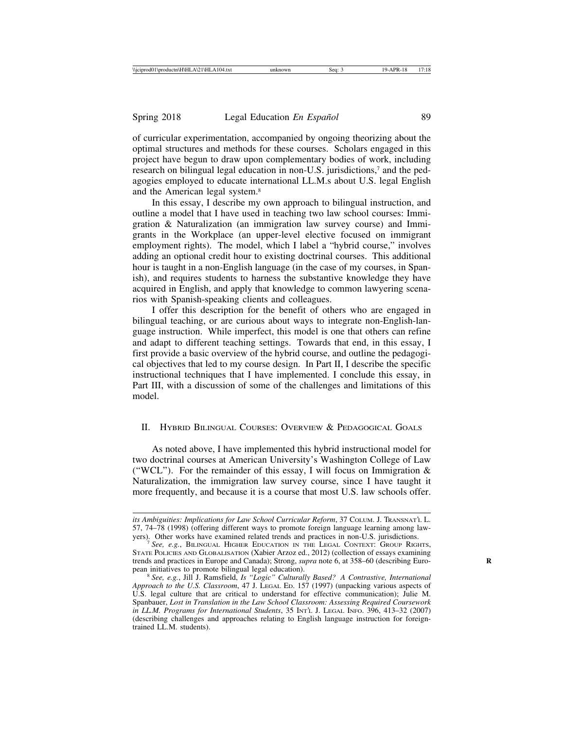of curricular experimentation, accompanied by ongoing theorizing about the optimal structures and methods for these courses. Scholars engaged in this project have begun to draw upon complementary bodies of work, including research on bilingual legal education in non-U.S. jurisdictions,7 and the pedagogies employed to educate international LL.M.s about U.S. legal English and the American legal system.8

In this essay, I describe my own approach to bilingual instruction, and outline a model that I have used in teaching two law school courses: Immigration & Naturalization (an immigration law survey course) and Immigrants in the Workplace (an upper-level elective focused on immigrant employment rights). The model, which I label a "hybrid course," involves adding an optional credit hour to existing doctrinal courses. This additional hour is taught in a non-English language (in the case of my courses, in Spanish), and requires students to harness the substantive knowledge they have acquired in English, and apply that knowledge to common lawyering scenarios with Spanish-speaking clients and colleagues.

I offer this description for the benefit of others who are engaged in bilingual teaching, or are curious about ways to integrate non-English-language instruction. While imperfect, this model is one that others can refine and adapt to different teaching settings. Towards that end, in this essay, I first provide a basic overview of the hybrid course, and outline the pedagogical objectives that led to my course design. In Part II, I describe the specific instructional techniques that I have implemented. I conclude this essay, in Part III, with a discussion of some of the challenges and limitations of this model.

## II. HYBRID BILINGUAL COURSES: OVERVIEW & PEDAGOGICAL GOALS

As noted above, I have implemented this hybrid instructional model for two doctrinal courses at American University's Washington College of Law ("WCL"). For the remainder of this essay, I will focus on Immigration  $\&$ Naturalization, the immigration law survey course, since I have taught it more frequently, and because it is a course that most U.S. law schools offer.

*its Ambiguities: Implications for Law School Curricular Reform*, 37 COLUM. J. TRANSNAT'L L. 57, 74–78 (1998) (offering different ways to promote foreign language learning among law-<br>yers). Other works have examined related trends and practices in non-U.S. jurisdictions.

See, e.g., BILINGUAL HIGHER EDUCATION IN THE LEGAL CONTEXT: GROUP RIGHTS, STATE POLICIES AND GLOBALISATION (Xabier Arzoz ed., 2012) (collection of essays examining trends and practices in Europe and Canada); Strong, *supra* note 6, at 358–60 (describing Euro-<br>pean initiatives to promote bilingual legal education).

<sup>&</sup>lt;sup>8</sup> See, e.g., Jill J. Ramsfield, *Is "Logic" Culturally Based? A Contrastive, International Approach to the U.S. Classroom*, 47 J. LEGAL ED. 157 (1997) (unpacking various aspects of U.S. legal culture that are critical to understand for effective communication); Julie M. Spanbauer, *Lost in Translation in the Law School Classroom: Assessing Required Coursework in LL.M. Programs for International Students*, 35 INT'L J. LEGAL INFO. 396, 413–32 (2007) (describing challenges and approaches relating to English language instruction for foreigntrained LL.M. students).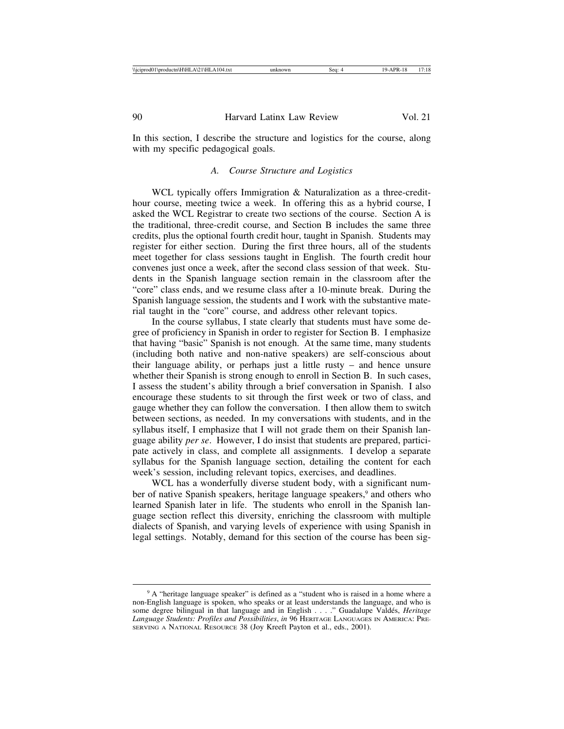In this section, I describe the structure and logistics for the course, along with my specific pedagogical goals.

#### *A. Course Structure and Logistics*

WCL typically offers Immigration & Naturalization as a three-credithour course, meeting twice a week. In offering this as a hybrid course, I asked the WCL Registrar to create two sections of the course. Section A is the traditional, three-credit course, and Section B includes the same three credits, plus the optional fourth credit hour, taught in Spanish. Students may register for either section. During the first three hours, all of the students meet together for class sessions taught in English. The fourth credit hour convenes just once a week, after the second class session of that week. Students in the Spanish language section remain in the classroom after the "core" class ends, and we resume class after a 10-minute break. During the Spanish language session, the students and I work with the substantive material taught in the "core" course, and address other relevant topics.

In the course syllabus, I state clearly that students must have some degree of proficiency in Spanish in order to register for Section B. I emphasize that having "basic" Spanish is not enough. At the same time, many students (including both native and non-native speakers) are self-conscious about their language ability, or perhaps just a little rusty – and hence unsure whether their Spanish is strong enough to enroll in Section B. In such cases, I assess the student's ability through a brief conversation in Spanish. I also encourage these students to sit through the first week or two of class, and gauge whether they can follow the conversation. I then allow them to switch between sections, as needed. In my conversations with students, and in the syllabus itself, I emphasize that I will not grade them on their Spanish language ability *per se*. However, I do insist that students are prepared, participate actively in class, and complete all assignments. I develop a separate syllabus for the Spanish language section, detailing the content for each week's session, including relevant topics, exercises, and deadlines.

WCL has a wonderfully diverse student body, with a significant number of native Spanish speakers, heritage language speakers,<sup>9</sup> and others who learned Spanish later in life. The students who enroll in the Spanish language section reflect this diversity, enriching the classroom with multiple dialects of Spanish, and varying levels of experience with using Spanish in legal settings. Notably, demand for this section of the course has been sig-

<sup>9</sup> A "heritage language speaker" is defined as a "student who is raised in a home where a non-English language is spoken, who speaks or at least understands the language, and who is some degree bilingual in that language and in English . . . ." Guadalupe Valdés, *Heritage Language Students: Profiles and Possibilities*, *in* 96 HERITAGE LANGUAGES IN AMERICA: PRE-SERVING A NATIONAL RESOURCE 38 (Joy Kreeft Payton et al., eds., 2001).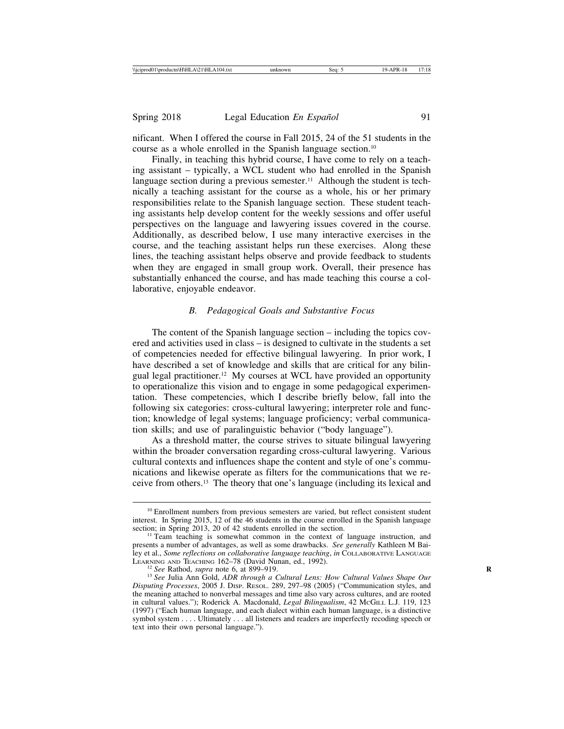nificant. When I offered the course in Fall 2015, 24 of the 51 students in the course as a whole enrolled in the Spanish language section.10

Finally, in teaching this hybrid course, I have come to rely on a teaching assistant – typically, a WCL student who had enrolled in the Spanish language section during a previous semester.<sup>11</sup> Although the student is technically a teaching assistant for the course as a whole, his or her primary responsibilities relate to the Spanish language section. These student teaching assistants help develop content for the weekly sessions and offer useful perspectives on the language and lawyering issues covered in the course. Additionally, as described below, I use many interactive exercises in the course, and the teaching assistant helps run these exercises. Along these lines, the teaching assistant helps observe and provide feedback to students when they are engaged in small group work. Overall, their presence has substantially enhanced the course, and has made teaching this course a collaborative, enjoyable endeavor.

# *B. Pedagogical Goals and Substantive Focus*

The content of the Spanish language section – including the topics covered and activities used in class – is designed to cultivate in the students a set of competencies needed for effective bilingual lawyering. In prior work, I have described a set of knowledge and skills that are critical for any bilingual legal practitioner.12 My courses at WCL have provided an opportunity to operationalize this vision and to engage in some pedagogical experimentation. These competencies, which I describe briefly below, fall into the following six categories: cross-cultural lawyering; interpreter role and function; knowledge of legal systems; language proficiency; verbal communication skills; and use of paralinguistic behavior ("body language").

As a threshold matter, the course strives to situate bilingual lawyering within the broader conversation regarding cross-cultural lawyering. Various cultural contexts and influences shape the content and style of one's communications and likewise operate as filters for the communications that we receive from others.13 The theory that one's language (including its lexical and

<sup>&</sup>lt;sup>10</sup> Enrollment numbers from previous semesters are varied, but reflect consistent student interest. In Spring 2015, 12 of the 46 students in the course enrolled in the Spanish language section; in Spring 2013, 20 of 42 students enrolled in the section.

<sup>&</sup>lt;sup>11</sup> Team teaching is somewhat common in the context of language instruction, and presents a number of advantages, as well as some drawbacks. *See generally* Kathleen M Bailey et al., *Some reflections on collaborative language teaching*, *in* COLLABORATIVE LANGUAGE<br>LEARNING AND TEACHING 162–78 (David Nunan, ed., 1992).

<sup>&</sup>lt;sup>12</sup> See Rathod, *supra* note 6, at 899–919.<br><sup>13</sup> See Julia Ann Gold, *ADR through a Cultural Lens: How Cultural Values Shape Our Disputing Processes*, 2005 J. DISP. RESOL. 289, 297–98 (2005) ("Communication styles, and the meaning attached to nonverbal messages and time also vary across cultures, and are rooted in cultural values."); Roderick A. Macdonald, *Legal Bilingualism*, 42 MCGILL L.J. 119, 123 (1997) ("Each human language, and each dialect within each human language, is a distinctive symbol system . . . . Ultimately . . . all listeners and readers are imperfectly recoding speech or text into their own personal language.").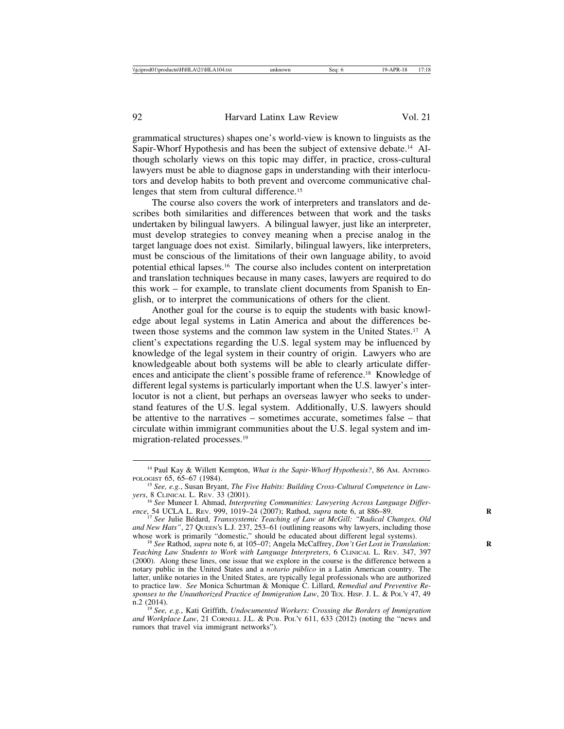grammatical structures) shapes one's world-view is known to linguists as the Sapir-Whorf Hypothesis and has been the subject of extensive debate.14 Although scholarly views on this topic may differ, in practice, cross-cultural lawyers must be able to diagnose gaps in understanding with their interlocutors and develop habits to both prevent and overcome communicative challenges that stem from cultural difference.15

The course also covers the work of interpreters and translators and describes both similarities and differences between that work and the tasks undertaken by bilingual lawyers. A bilingual lawyer, just like an interpreter, must develop strategies to convey meaning when a precise analog in the target language does not exist. Similarly, bilingual lawyers, like interpreters, must be conscious of the limitations of their own language ability, to avoid potential ethical lapses.16 The course also includes content on interpretation and translation techniques because in many cases, lawyers are required to do this work – for example, to translate client documents from Spanish to English, or to interpret the communications of others for the client.

Another goal for the course is to equip the students with basic knowledge about legal systems in Latin America and about the differences between those systems and the common law system in the United States.17 A client's expectations regarding the U.S. legal system may be influenced by knowledge of the legal system in their country of origin. Lawyers who are knowledgeable about both systems will be able to clearly articulate differences and anticipate the client's possible frame of reference.18 Knowledge of different legal systems is particularly important when the U.S. lawyer's interlocutor is not a client, but perhaps an overseas lawyer who seeks to understand features of the U.S. legal system. Additionally, U.S. lawyers should be attentive to the narratives – sometimes accurate, sometimes false – that circulate within immigrant communities about the U.S. legal system and immigration-related processes.19

<sup>&</sup>lt;sup>14</sup> Paul Kay & Willett Kempton, *What is the Sapir-Whorf Hypothesis?*, 86 AM. ANTHRO-POLOGIST 65, 65–67 (1984).

<sup>&</sup>lt;sup>15</sup> *See, e.g., Susan Bryant, The Five Habits: Building Cross-Cultural Competence in Law-*

*yers*, 8 CLINICAL L. REV. 33 (2001).<br><sup>16</sup> *See* Muneer I. Ahmad, *Interpreting Communities: Lawyering Across Language Differ-*<br>*ence*, 54 UCLA L. REV. 999, 1019–24 (2007); Rathod, *supra* note 6, at 886–89.

<sup>&</sup>lt;sup>17</sup> See Julie Bédard, *Transsystemic Teaching of Law at McGill: "Radical Changes, Old and New Hats"*, 27 QUEEN'S L.J. 237, 253–61 (outlining reasons why lawyers, including those whose work is primarily "domestic," should be educated about different legal systems).<br><sup>18</sup> *See* Rathod, *supra* note 6, at 105–07; Angela McCaffrey, *Don't Get Lost in Translation*:

<sup>&</sup>lt;sup>18</sup> See Rathod, supra note 6, at 105–07; Angela McCaffrey, *Don't Get Lost in Translation:* Teaching Law Students to Work with Language Interpreters, 6 CLINICAL L. REV. 347, 397 (2000). Along these lines, one issue that we explore in the course is the difference between a notary public in the United States and a *notario p´ublico* in a Latin American country. The latter, unlike notaries in the United States, are typically legal professionals who are authorized to practice law. *See* Monica Schurtman & Monique C. Lillard, *Remedial and Preventive Responses to the Unauthorized Practice of Immigration Law*, 20 Tex. HISP. J. L. & Pol.'Y 47, 49 n.2 (2014).

<sup>&</sup>lt;sup>19</sup> *See, e.g.*, Kati Griffith, *Undocumented Workers: Crossing the Borders of Immigration and Workplace Law*, 21 CORNELL J.L. & PUB. POL'Y 611, 633 (2012) (noting the "news and rumors that travel via immigrant networks").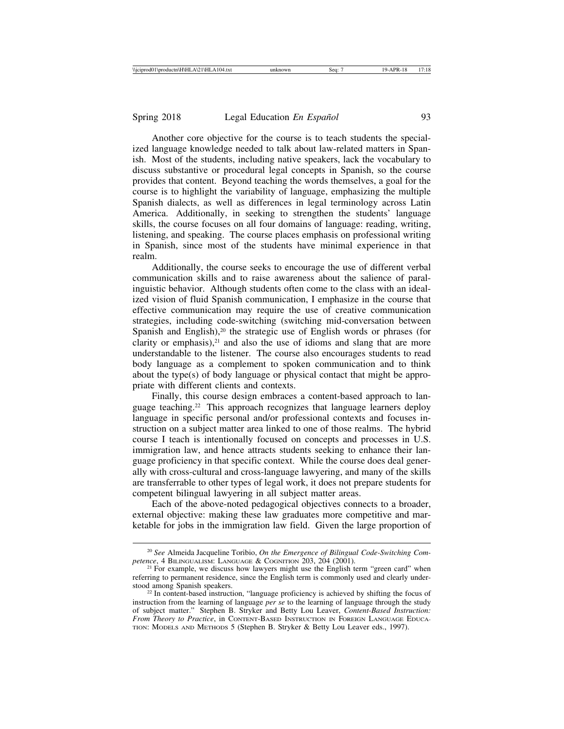Another core objective for the course is to teach students the specialized language knowledge needed to talk about law-related matters in Spanish. Most of the students, including native speakers, lack the vocabulary to discuss substantive or procedural legal concepts in Spanish, so the course provides that content. Beyond teaching the words themselves, a goal for the course is to highlight the variability of language, emphasizing the multiple Spanish dialects, as well as differences in legal terminology across Latin America. Additionally, in seeking to strengthen the students' language skills, the course focuses on all four domains of language: reading, writing, listening, and speaking. The course places emphasis on professional writing in Spanish, since most of the students have minimal experience in that realm.

Additionally, the course seeks to encourage the use of different verbal communication skills and to raise awareness about the salience of paralinguistic behavior. Although students often come to the class with an idealized vision of fluid Spanish communication, I emphasize in the course that effective communication may require the use of creative communication strategies, including code-switching (switching mid-conversation between Spanish and English),<sup>20</sup> the strategic use of English words or phrases (for clarity or emphasis), $21$  and also the use of idioms and slang that are more understandable to the listener. The course also encourages students to read body language as a complement to spoken communication and to think about the type(s) of body language or physical contact that might be appropriate with different clients and contexts.

Finally, this course design embraces a content-based approach to language teaching.22 This approach recognizes that language learners deploy language in specific personal and/or professional contexts and focuses instruction on a subject matter area linked to one of those realms. The hybrid course I teach is intentionally focused on concepts and processes in U.S. immigration law, and hence attracts students seeking to enhance their language proficiency in that specific context. While the course does deal generally with cross-cultural and cross-language lawyering, and many of the skills are transferrable to other types of legal work, it does not prepare students for competent bilingual lawyering in all subject matter areas.

Each of the above-noted pedagogical objectives connects to a broader, external objective: making these law graduates more competitive and marketable for jobs in the immigration law field. Given the large proportion of

<sup>&</sup>lt;sup>20</sup> *See Almeida Jacqueline Toribio, On the Emergence of Bilingual Code-Switching Comptence, 4 BILINGUALISM: LANGUAGE & COGNITION 203, 204 (2001).* 

<sup>&</sup>lt;sup>21</sup> For example, we discuss how lawyers might use the English term "green card" when referring to permanent residence, since the English term is commonly used and clearly understood among Spanish speakers.<br><sup>22</sup> In content-based instruction, "language proficiency is achieved by shifting the focus of

instruction from the learning of language *per se* to the learning of language through the study of subject matter." Stephen B. Stryker and Betty Lou Leaver, *Content-Based Instruction: From Theory to Practice*, in CONTENT-BASED INSTRUCTION IN FOREIGN LANGUAGE EDUCA-TION: MODELS AND METHODS 5 (Stephen B. Stryker & Betty Lou Leaver eds., 1997).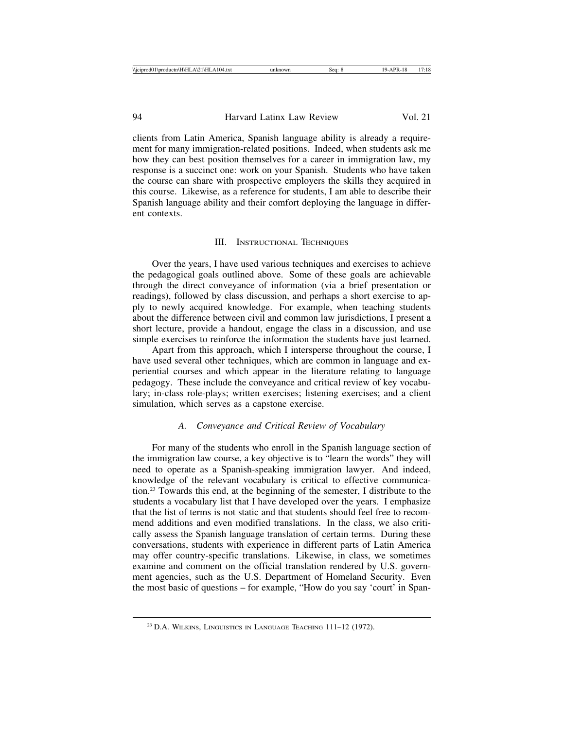clients from Latin America, Spanish language ability is already a requirement for many immigration-related positions. Indeed, when students ask me how they can best position themselves for a career in immigration law, my response is a succinct one: work on your Spanish. Students who have taken the course can share with prospective employers the skills they acquired in this course. Likewise, as a reference for students, I am able to describe their Spanish language ability and their comfort deploying the language in different contexts.

#### III. INSTRUCTIONAL TECHNIQUES

Over the years, I have used various techniques and exercises to achieve the pedagogical goals outlined above. Some of these goals are achievable through the direct conveyance of information (via a brief presentation or readings), followed by class discussion, and perhaps a short exercise to apply to newly acquired knowledge. For example, when teaching students about the difference between civil and common law jurisdictions, I present a short lecture, provide a handout, engage the class in a discussion, and use simple exercises to reinforce the information the students have just learned.

Apart from this approach, which I intersperse throughout the course, I have used several other techniques, which are common in language and experiential courses and which appear in the literature relating to language pedagogy. These include the conveyance and critical review of key vocabulary; in-class role-plays; written exercises; listening exercises; and a client simulation, which serves as a capstone exercise.

#### *A. Conveyance and Critical Review of Vocabulary*

For many of the students who enroll in the Spanish language section of the immigration law course, a key objective is to "learn the words" they will need to operate as a Spanish-speaking immigration lawyer. And indeed, knowledge of the relevant vocabulary is critical to effective communication.23 Towards this end, at the beginning of the semester, I distribute to the students a vocabulary list that I have developed over the years. I emphasize that the list of terms is not static and that students should feel free to recommend additions and even modified translations. In the class, we also critically assess the Spanish language translation of certain terms. During these conversations, students with experience in different parts of Latin America may offer country-specific translations. Likewise, in class, we sometimes examine and comment on the official translation rendered by U.S. government agencies, such as the U.S. Department of Homeland Security. Even the most basic of questions – for example, "How do you say 'court' in Span-

<sup>23</sup> D.A. WILKINS, LINGUISTICS IN LANGUAGE TEACHING 111–12 (1972).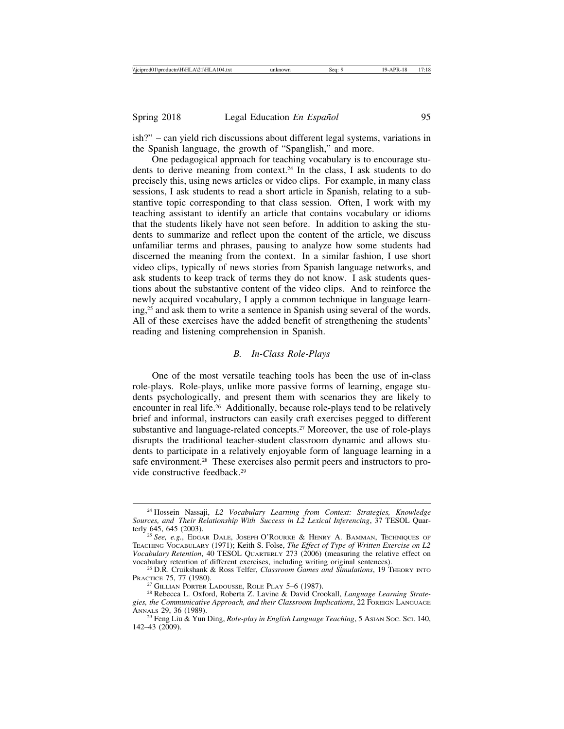ish?" – can yield rich discussions about different legal systems, variations in the Spanish language, the growth of "Spanglish," and more.

One pedagogical approach for teaching vocabulary is to encourage students to derive meaning from context.24 In the class, I ask students to do precisely this, using news articles or video clips. For example, in many class sessions, I ask students to read a short article in Spanish, relating to a substantive topic corresponding to that class session. Often, I work with my teaching assistant to identify an article that contains vocabulary or idioms that the students likely have not seen before. In addition to asking the students to summarize and reflect upon the content of the article, we discuss unfamiliar terms and phrases, pausing to analyze how some students had discerned the meaning from the context. In a similar fashion, I use short video clips, typically of news stories from Spanish language networks, and ask students to keep track of terms they do not know. I ask students questions about the substantive content of the video clips. And to reinforce the newly acquired vocabulary, I apply a common technique in language learning,25 and ask them to write a sentence in Spanish using several of the words. All of these exercises have the added benefit of strengthening the students' reading and listening comprehension in Spanish.

#### *B. In-Class Role-Plays*

One of the most versatile teaching tools has been the use of in-class role-plays. Role-plays, unlike more passive forms of learning, engage students psychologically, and present them with scenarios they are likely to encounter in real life.26 Additionally, because role-plays tend to be relatively brief and informal, instructors can easily craft exercises pegged to different substantive and language-related concepts.27 Moreover, the use of role-plays disrupts the traditional teacher-student classroom dynamic and allows students to participate in a relatively enjoyable form of language learning in a safe environment.<sup>28</sup> These exercises also permit peers and instructors to provide constructive feedback.29

<sup>24</sup> Hossein Nassaji, *L2 Vocabulary Learning from Context: Strategies, Knowledge Sources, and Their Relationship With Success in L2 Lexical Inferencing*, 37 TESOL Quar-<br>terly 645, 645 (2003).

<sup>&</sup>lt;sup>25</sup> See, e.g., EDGAR DALE, JOSEPH O'ROURKE & HENRY A. BAMMAN, TECHNIQUES OF TEACHING VOCABULARY (1971); Keith S. Folse, *The Effect of Type of Written Exercise on L2 Vocabulary Retention*, 40 TESOL QUARTERLY 273 (2006) (measuring the relative effect on vocabulary retention of different exercises, including writing original sentences).

<sup>&</sup>lt;sup>26</sup> D.R. Cruikshank & Ross Telfer, *Classroom Games and Simulations*, 19 THEORY INTO PRACTICE 75, 77 (1980).

<sup>&</sup>lt;sup>27</sup> GILLIAN PORTER LADOUSSE, ROLE PLAY 5–6 (1987).<br><sup>28</sup> Rebecca L. Oxford, Roberta Z. Lavine & David Crookall, *Language Learning Strate*gies, the Communicative Approach, and their Classroom Implications, 22 FOREIGN LANGUAGE ANNALS 29, 36 (1989).

<sup>&</sup>lt;sup>29</sup> Feng Liu & Yun Ding, *Role-play in English Language Teaching*, 5 AsIAN Soc. Sci. 140, 142–43 (2009).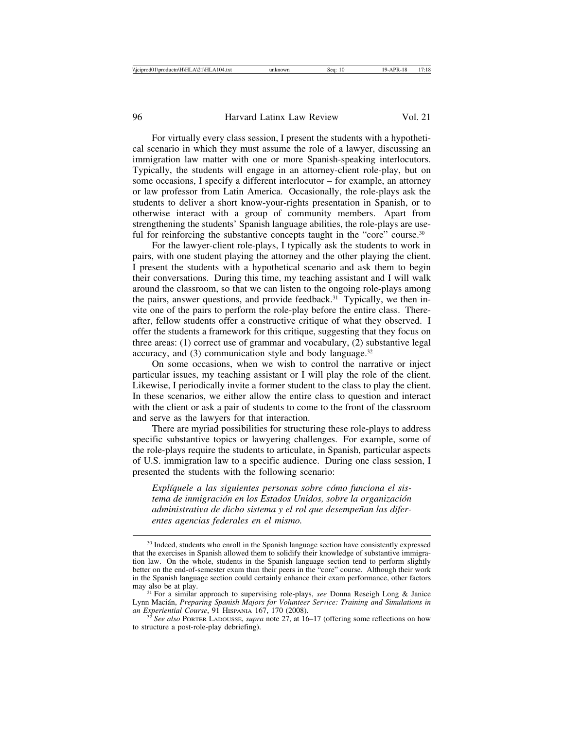For virtually every class session, I present the students with a hypothetical scenario in which they must assume the role of a lawyer, discussing an immigration law matter with one or more Spanish-speaking interlocutors. Typically, the students will engage in an attorney-client role-play, but on some occasions, I specify a different interlocutor – for example, an attorney or law professor from Latin America. Occasionally, the role-plays ask the students to deliver a short know-your-rights presentation in Spanish, or to otherwise interact with a group of community members. Apart from strengthening the students' Spanish language abilities, the role-plays are useful for reinforcing the substantive concepts taught in the "core" course.<sup>30</sup>

For the lawyer-client role-plays, I typically ask the students to work in pairs, with one student playing the attorney and the other playing the client. I present the students with a hypothetical scenario and ask them to begin their conversations. During this time, my teaching assistant and I will walk around the classroom, so that we can listen to the ongoing role-plays among the pairs, answer questions, and provide feedback.<sup>31</sup> Typically, we then invite one of the pairs to perform the role-play before the entire class. Thereafter, fellow students offer a constructive critique of what they observed. I offer the students a framework for this critique, suggesting that they focus on three areas: (1) correct use of grammar and vocabulary, (2) substantive legal accuracy, and  $(3)$  communication style and body language.<sup>32</sup>

On some occasions, when we wish to control the narrative or inject particular issues, my teaching assistant or I will play the role of the client. Likewise, I periodically invite a former student to the class to play the client. In these scenarios, we either allow the entire class to question and interact with the client or ask a pair of students to come to the front of the classroom and serve as the lawyers for that interaction.

There are myriad possibilities for structuring these role-plays to address specific substantive topics or lawyering challenges. For example, some of the role-plays require the students to articulate, in Spanish, particular aspects of U.S. immigration law to a specific audience. During one class session, I presented the students with the following scenario:

Explíquele a las siguientes personas sobre cómo funciona el sistema de inmigración en los Estados Unidos, sobre la organización administrativa de dicho sistema y el rol que desempeñan las difer*entes agencias federales en el mismo.*

<sup>&</sup>lt;sup>30</sup> Indeed, students who enroll in the Spanish language section have consistently expressed that the exercises in Spanish allowed them to solidify their knowledge of substantive immigration law. On the whole, students in the Spanish language section tend to perform slightly better on the end-of-semester exam than their peers in the "core" course. Although their work in the Spanish language section could certainly enhance their exam performance, other factors may also be at play. <sup>31</sup> For a similar approach to supervising role-plays, *see* Donna Reseigh Long & Janice

Lynn Macián, *Preparing Spanish Majors for Volunteer Service: Training and Simulations in an Experiential Course*, 91 Hispania 167, 170 (2008).

<sup>&</sup>lt;sup>32</sup> See also PORTER LADOUSSE, *supra* note 27, at 16–17 (offering some reflections on how to structure a post-role-play debriefing).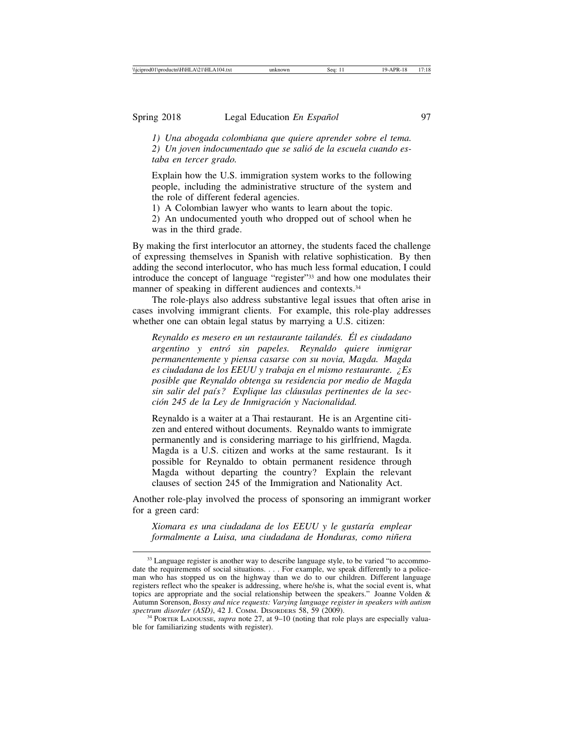*1) Una abogada colombiana que quiere aprender sobre el tema.* 2) Un joven indocumentado que se salió de la escuela cuando es*taba en tercer grado.*

Explain how the U.S. immigration system works to the following people, including the administrative structure of the system and the role of different federal agencies.

1) A Colombian lawyer who wants to learn about the topic.

2) An undocumented youth who dropped out of school when he was in the third grade.

By making the first interlocutor an attorney, the students faced the challenge of expressing themselves in Spanish with relative sophistication. By then adding the second interlocutor, who has much less formal education, I could introduce the concept of language "register"33 and how one modulates their manner of speaking in different audiences and contexts.<sup>34</sup>

The role-plays also address substantive legal issues that often arise in cases involving immigrant clients. For example, this role-play addresses whether one can obtain legal status by marrying a U.S. citizen:

*Reynaldo es mesero en un restaurante tailand´es. El es ciudadano ´ argentino y entr´o sin papeles. Reynaldo quiere inmigrar permanentemente y piensa casarse con su novia, Magda. Magda es ciudadana de los EEUU y trabaja en el mismo restaurante. ¿Es posible que Reynaldo obtenga su residencia por medio de Magda* sin salir del país? Explique las cláusulas pertinentes de la sec*ci´on 245 de la Ley de Inmigraci´on y Nacionalidad.*

Reynaldo is a waiter at a Thai restaurant. He is an Argentine citizen and entered without documents. Reynaldo wants to immigrate permanently and is considering marriage to his girlfriend, Magda. Magda is a U.S. citizen and works at the same restaurant. Is it possible for Reynaldo to obtain permanent residence through Magda without departing the country? Explain the relevant clauses of section 245 of the Immigration and Nationality Act.

Another role-play involved the process of sponsoring an immigrant worker for a green card:

*Xiomara es una ciudadana de los EEUU y le gustar´ıa emplear formalmente a Luisa, una ciudadana de Honduras, como ni˜nera*

 $33$  Language register is another way to describe language style, to be varied "to accommodate the requirements of social situations. . . . For example, we speak differently to a policeman who has stopped us on the highway than we do to our children. Different language registers reflect who the speaker is addressing, where he/she is, what the social event is, what topics are appropriate and the social relationship between the speakers." Joanne Volden & Autumn Sorenson, *Bossy and nice requests: Varying language register in speakers with autism*

<sup>&</sup>lt;sup>34</sup> PORTER LADOUSSE, *supra* note 27, at 9–10 (noting that role plays are especially valuable for familiarizing students with register).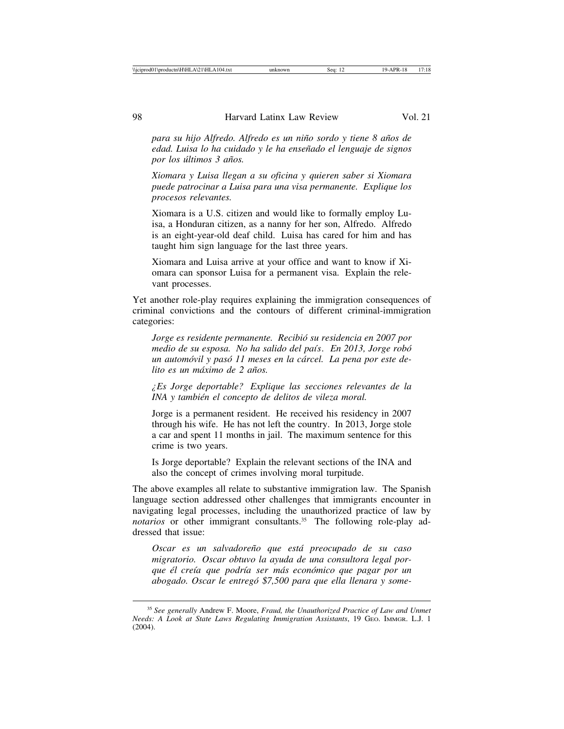*para su hijo Alfredo. Alfredo es un ni˜no sordo y tiene 8 a˜nos de edad. Luisa lo ha cuidado y le ha ense˜nado el lenguaje de signos por los ´ultimos 3 a˜nos.*

*Xiomara y Luisa llegan a su oficina y quieren saber si Xiomara puede patrocinar a Luisa para una visa permanente. Explique los procesos relevantes.*

Xiomara is a U.S. citizen and would like to formally employ Luisa, a Honduran citizen, as a nanny for her son, Alfredo. Alfredo is an eight-year-old deaf child. Luisa has cared for him and has taught him sign language for the last three years.

Xiomara and Luisa arrive at your office and want to know if Xiomara can sponsor Luisa for a permanent visa. Explain the relevant processes.

Yet another role-play requires explaining the immigration consequences of criminal convictions and the contours of different criminal-immigration categories:

*Jorge es residente permanente. Recibi´o su residencia en 2007 por medio de su esposa. No ha salido del pa´ıs. En 2013, Jorge rob´o un automóvil y pasó 11 meses en la cárcel. La pena por este delito es un m´aximo de 2 a˜nos.*

*¿Es Jorge deportable? Explique las secciones relevantes de la INA y también el concepto de delitos de vileza moral.* 

Jorge is a permanent resident. He received his residency in 2007 through his wife. He has not left the country. In 2013, Jorge stole a car and spent 11 months in jail. The maximum sentence for this crime is two years.

Is Jorge deportable? Explain the relevant sections of the INA and also the concept of crimes involving moral turpitude.

The above examples all relate to substantive immigration law. The Spanish language section addressed other challenges that immigrants encounter in navigating legal processes, including the unauthorized practice of law by *notarios* or other immigrant consultants.<sup>35</sup> The following role-play addressed that issue:

*Oscar es un salvadore˜no que est´a preocupado de su caso migratorio. Oscar obtuvo la ayuda de una consultora legal porque ´el cre´ıa que podr´ıa ser m´as econ´omico que pagar por un abogado. Oscar le entreg´o \$7,500 para que ella llenara y some-*

<sup>35</sup> *See generally* Andrew F. Moore, *Fraud, the Unauthorized Practice of Law and Unmet Needs: A Look at State Laws Regulating Immigration Assistants*, 19 GEO. IMMGR. L.J. 1 (2004).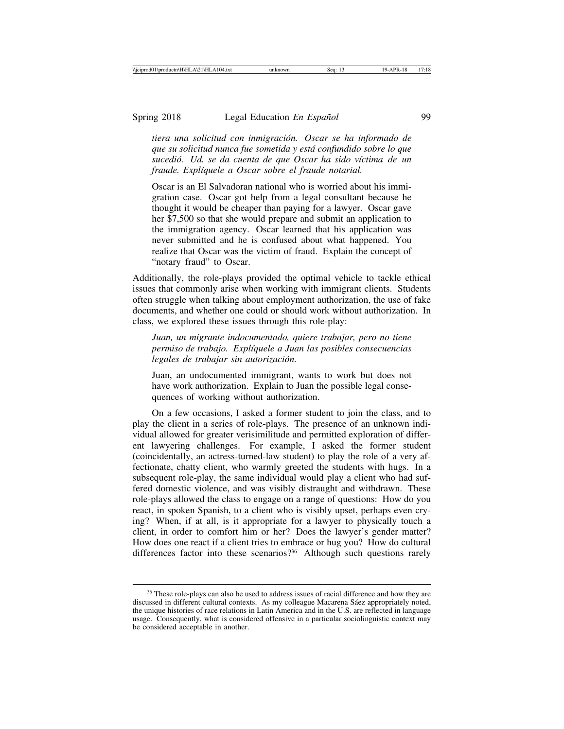*tiera una solicitud con inmigraci´on. Oscar se ha informado de que su solicitud nunca fue sometida y est´a confundido sobre lo que* sucedió. Ud. se da cuenta de que Oscar ha sido víctima de un *fraude. Explíquele a Oscar sobre el fraude notarial.* 

Oscar is an El Salvadoran national who is worried about his immigration case. Oscar got help from a legal consultant because he thought it would be cheaper than paying for a lawyer. Oscar gave her \$7,500 so that she would prepare and submit an application to the immigration agency. Oscar learned that his application was never submitted and he is confused about what happened. You realize that Oscar was the victim of fraud. Explain the concept of "notary fraud" to Oscar.

Additionally, the role-plays provided the optimal vehicle to tackle ethical issues that commonly arise when working with immigrant clients. Students often struggle when talking about employment authorization, the use of fake documents, and whether one could or should work without authorization. In class, we explored these issues through this role-play:

*Juan, un migrante indocumentado, quiere trabajar, pero no tiene permiso de trabajo. Expl´ıquele a Juan las posibles consecuencias* legales de trabajar sin autorización.

Juan, an undocumented immigrant, wants to work but does not have work authorization. Explain to Juan the possible legal consequences of working without authorization.

On a few occasions, I asked a former student to join the class, and to play the client in a series of role-plays. The presence of an unknown individual allowed for greater verisimilitude and permitted exploration of different lawyering challenges. For example, I asked the former student (coincidentally, an actress-turned-law student) to play the role of a very affectionate, chatty client, who warmly greeted the students with hugs. In a subsequent role-play, the same individual would play a client who had suffered domestic violence, and was visibly distraught and withdrawn. These role-plays allowed the class to engage on a range of questions: How do you react, in spoken Spanish, to a client who is visibly upset, perhaps even crying? When, if at all, is it appropriate for a lawyer to physically touch a client, in order to comfort him or her? Does the lawyer's gender matter? How does one react if a client tries to embrace or hug you? How do cultural differences factor into these scenarios?<sup>36</sup> Although such questions rarely

<sup>&</sup>lt;sup>36</sup> These role-plays can also be used to address issues of racial difference and how they are discussed in different cultural contexts. As my colleague Macarena Sáez appropriately noted, the unique histories of race relations in Latin America and in the U.S. are reflected in language usage. Consequently, what is considered offensive in a particular sociolinguistic context may be considered acceptable in another.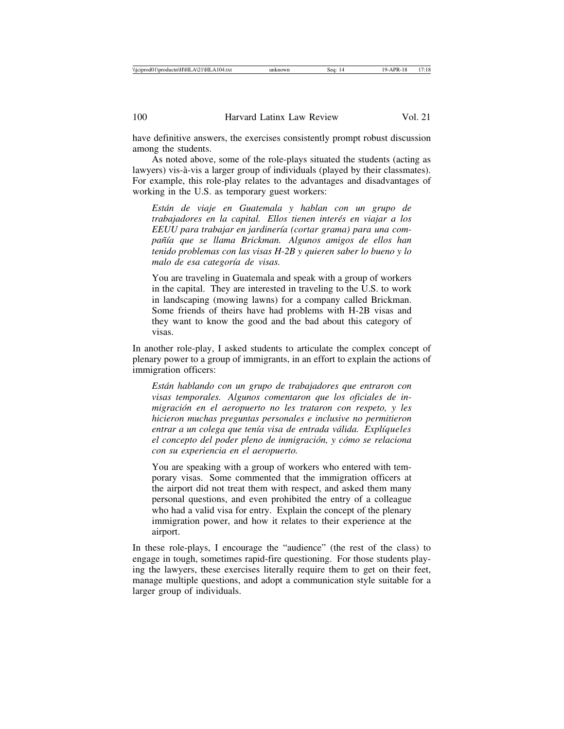have definitive answers, the exercises consistently prompt robust discussion among the students.

As noted above, some of the role-plays situated the students (acting as lawyers) vis-à-vis a larger group of individuals (played by their classmates). For example, this role-play relates to the advantages and disadvantages of working in the U.S. as temporary guest workers:

*Est´an de viaje en Guatemala y hablan con un grupo de trabajadores en la capital. Ellos tienen inter´es en viajar a los* EEUU para trabajar en jardinería (cortar grama) para una com*pa˜n´ıa que se llama Brickman. Algunos amigos de ellos han tenido problemas con las visas H-2B y quieren saber lo bueno y lo* malo de esa categoría de visas.

You are traveling in Guatemala and speak with a group of workers in the capital. They are interested in traveling to the U.S. to work in landscaping (mowing lawns) for a company called Brickman. Some friends of theirs have had problems with H-2B visas and they want to know the good and the bad about this category of visas.

In another role-play, I asked students to articulate the complex concept of plenary power to a group of immigrants, in an effort to explain the actions of immigration officers:

*Est´an hablando con un grupo de trabajadores que entraron con visas temporales. Algunos comentaron que los oficiales de in*migración en el aeropuerto no les trataron con respeto, y les *hicieron muchas preguntas personales e inclusive no permitieron* entrar a un colega que tenía visa de entrada válida. Explíqueles *el concepto del poder pleno de inmigraci´on, y c´omo se relaciona con su experiencia en el aeropuerto.*

You are speaking with a group of workers who entered with temporary visas. Some commented that the immigration officers at the airport did not treat them with respect, and asked them many personal questions, and even prohibited the entry of a colleague who had a valid visa for entry. Explain the concept of the plenary immigration power, and how it relates to their experience at the airport.

In these role-plays, I encourage the "audience" (the rest of the class) to engage in tough, sometimes rapid-fire questioning. For those students playing the lawyers, these exercises literally require them to get on their feet, manage multiple questions, and adopt a communication style suitable for a larger group of individuals.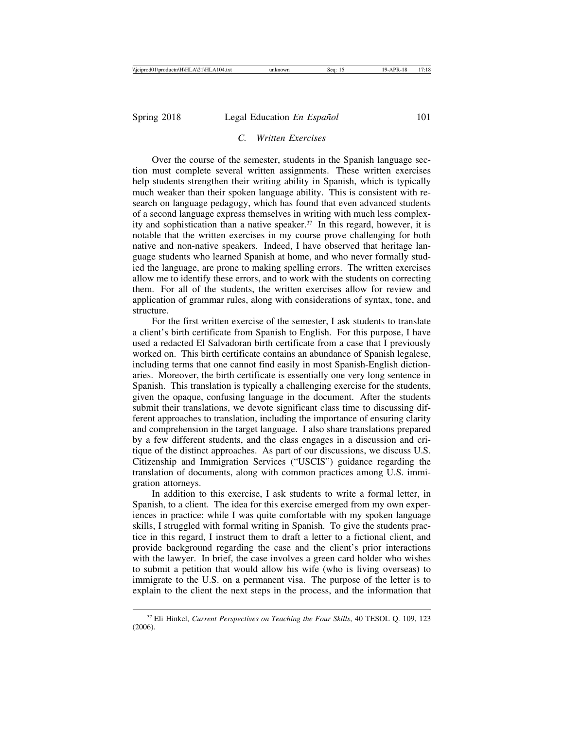# *C. Written Exercises*

Over the course of the semester, students in the Spanish language section must complete several written assignments. These written exercises help students strengthen their writing ability in Spanish, which is typically much weaker than their spoken language ability. This is consistent with research on language pedagogy, which has found that even advanced students of a second language express themselves in writing with much less complexity and sophistication than a native speaker.<sup>37</sup> In this regard, however, it is notable that the written exercises in my course prove challenging for both native and non-native speakers. Indeed, I have observed that heritage language students who learned Spanish at home, and who never formally studied the language, are prone to making spelling errors. The written exercises allow me to identify these errors, and to work with the students on correcting them. For all of the students, the written exercises allow for review and application of grammar rules, along with considerations of syntax, tone, and structure.

For the first written exercise of the semester, I ask students to translate a client's birth certificate from Spanish to English. For this purpose, I have used a redacted El Salvadoran birth certificate from a case that I previously worked on. This birth certificate contains an abundance of Spanish legalese, including terms that one cannot find easily in most Spanish-English dictionaries. Moreover, the birth certificate is essentially one very long sentence in Spanish. This translation is typically a challenging exercise for the students, given the opaque, confusing language in the document. After the students submit their translations, we devote significant class time to discussing different approaches to translation, including the importance of ensuring clarity and comprehension in the target language. I also share translations prepared by a few different students, and the class engages in a discussion and critique of the distinct approaches. As part of our discussions, we discuss U.S. Citizenship and Immigration Services ("USCIS") guidance regarding the translation of documents, along with common practices among U.S. immigration attorneys.

In addition to this exercise, I ask students to write a formal letter, in Spanish, to a client. The idea for this exercise emerged from my own experiences in practice: while I was quite comfortable with my spoken language skills, I struggled with formal writing in Spanish. To give the students practice in this regard, I instruct them to draft a letter to a fictional client, and provide background regarding the case and the client's prior interactions with the lawyer. In brief, the case involves a green card holder who wishes to submit a petition that would allow his wife (who is living overseas) to immigrate to the U.S. on a permanent visa. The purpose of the letter is to explain to the client the next steps in the process, and the information that

<sup>37</sup> Eli Hinkel, *Current Perspectives on Teaching the Four Skills*, 40 TESOL Q. 109, 123 (2006).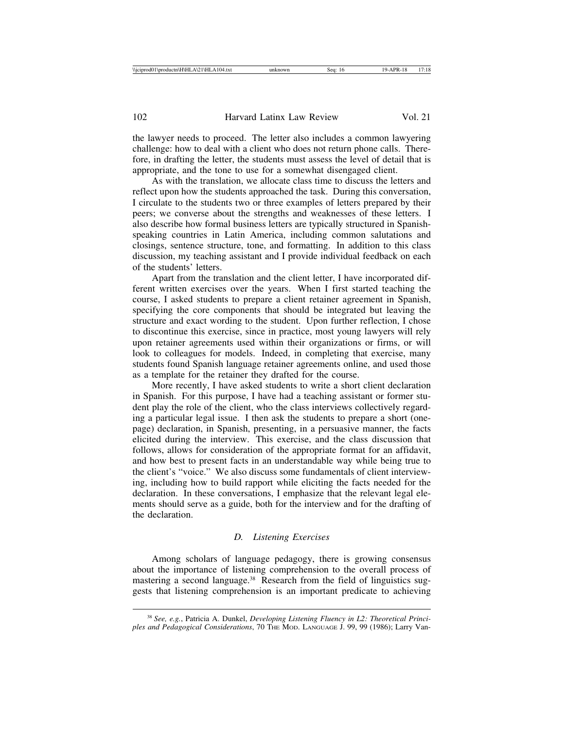the lawyer needs to proceed. The letter also includes a common lawyering challenge: how to deal with a client who does not return phone calls. Therefore, in drafting the letter, the students must assess the level of detail that is appropriate, and the tone to use for a somewhat disengaged client.

As with the translation, we allocate class time to discuss the letters and reflect upon how the students approached the task. During this conversation, I circulate to the students two or three examples of letters prepared by their peers; we converse about the strengths and weaknesses of these letters. I also describe how formal business letters are typically structured in Spanishspeaking countries in Latin America, including common salutations and closings, sentence structure, tone, and formatting. In addition to this class discussion, my teaching assistant and I provide individual feedback on each of the students' letters.

Apart from the translation and the client letter, I have incorporated different written exercises over the years. When I first started teaching the course, I asked students to prepare a client retainer agreement in Spanish, specifying the core components that should be integrated but leaving the structure and exact wording to the student. Upon further reflection, I chose to discontinue this exercise, since in practice, most young lawyers will rely upon retainer agreements used within their organizations or firms, or will look to colleagues for models. Indeed, in completing that exercise, many students found Spanish language retainer agreements online, and used those as a template for the retainer they drafted for the course.

More recently, I have asked students to write a short client declaration in Spanish. For this purpose, I have had a teaching assistant or former student play the role of the client, who the class interviews collectively regarding a particular legal issue. I then ask the students to prepare a short (onepage) declaration, in Spanish, presenting, in a persuasive manner, the facts elicited during the interview. This exercise, and the class discussion that follows, allows for consideration of the appropriate format for an affidavit, and how best to present facts in an understandable way while being true to the client's "voice." We also discuss some fundamentals of client interviewing, including how to build rapport while eliciting the facts needed for the declaration. In these conversations, I emphasize that the relevant legal elements should serve as a guide, both for the interview and for the drafting of the declaration.

#### *D. Listening Exercises*

Among scholars of language pedagogy, there is growing consensus about the importance of listening comprehension to the overall process of mastering a second language.38 Research from the field of linguistics suggests that listening comprehension is an important predicate to achieving

<sup>38</sup> *See, e.g.*, Patricia A. Dunkel, *Developing Listening Fluency in L2: Theoretical Principles and Pedagogical Considerations*, 70 THE MOD. LANGUAGE J. 99, 99 (1986); Larry Van-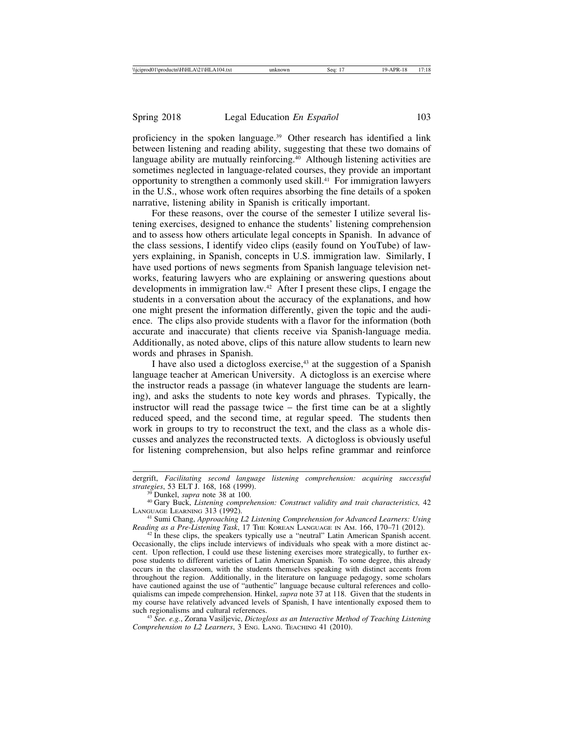proficiency in the spoken language.39 Other research has identified a link between listening and reading ability, suggesting that these two domains of language ability are mutually reinforcing.<sup>40</sup> Although listening activities are sometimes neglected in language-related courses, they provide an important opportunity to strengthen a commonly used skill.41 For immigration lawyers in the U.S., whose work often requires absorbing the fine details of a spoken narrative, listening ability in Spanish is critically important.

For these reasons, over the course of the semester I utilize several listening exercises, designed to enhance the students' listening comprehension and to assess how others articulate legal concepts in Spanish. In advance of the class sessions, I identify video clips (easily found on YouTube) of lawyers explaining, in Spanish, concepts in U.S. immigration law. Similarly, I have used portions of news segments from Spanish language television networks, featuring lawyers who are explaining or answering questions about developments in immigration law.42 After I present these clips, I engage the students in a conversation about the accuracy of the explanations, and how one might present the information differently, given the topic and the audience. The clips also provide students with a flavor for the information (both accurate and inaccurate) that clients receive via Spanish-language media. Additionally, as noted above, clips of this nature allow students to learn new words and phrases in Spanish.

I have also used a dictogloss exercise,<sup>43</sup> at the suggestion of a Spanish language teacher at American University. A dictogloss is an exercise where the instructor reads a passage (in whatever language the students are learning), and asks the students to note key words and phrases. Typically, the instructor will read the passage twice – the first time can be at a slightly reduced speed, and the second time, at regular speed. The students then work in groups to try to reconstruct the text, and the class as a whole discusses and analyzes the reconstructed texts. A dictogloss is obviously useful for listening comprehension, but also helps refine grammar and reinforce

*Reading as a Pre-Listening Task*, 17 THE KOREAN LANGUAGE IN AM. 166, 170–71 (2012). <sup>42</sup> In these clips, the speakers typically use a "neutral" Latin American Spanish accent. Occasionally, the clips include interviews of individuals who speak with a more distinct accent. Upon reflection, I could use these listening exercises more strategically, to further expose students to different varieties of Latin American Spanish. To some degree, this already occurs in the classroom, with the students themselves speaking with distinct accents from throughout the region. Additionally, in the literature on language pedagogy, some scholars have cautioned against the use of "authentic" language because cultural references and colloquialisms can impede comprehension. Hinkel, *supra* note 37 at 118. Given that the students in my course have relatively advanced levels of Spanish, I have intentionally exposed them to such regionalisms and cultural references.

<sup>43</sup> See. e.g., Zorana Vasiljevic, *Dictogloss as an Interactive Method of Teaching Listening Comprehension to L2 Learners*, 3 ENG. LANG. TEACHING 41 (2010).

dergrift, *Facilitating second language listening comprehension: acquiring successful*

<sup>&</sup>lt;sup>39</sup> Dunkel, *supra* note 38 at 100.<br><sup>40</sup> Gary Buck, *Listening comprehension: Construct validity and trait characteristics*, 42<br>LANGUAGE LEARNING 313 (1992).

<sup>&</sup>lt;sup>41</sup> Sumi Chang, *Approaching L2 Listening Comprehension for Advanced Learners: Using Reading as a Pre-Listening Task, 17 The KOREAN LANGUAGE IN AM. 166, 170–71 (2012).*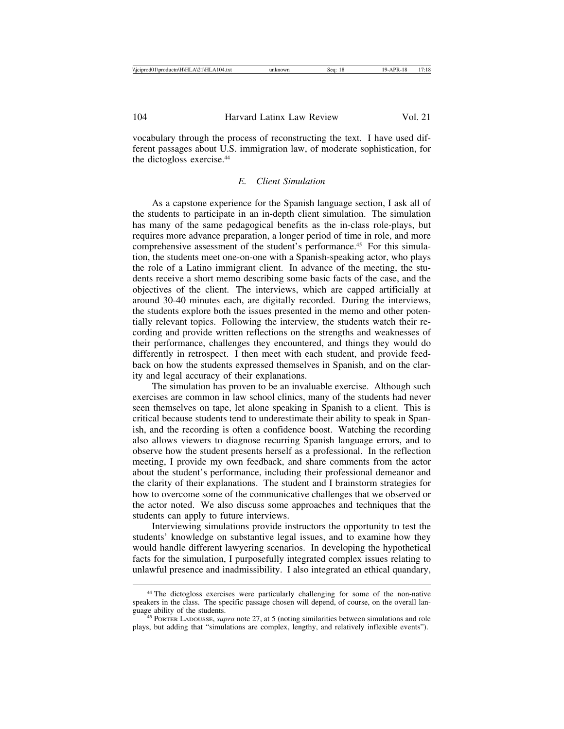vocabulary through the process of reconstructing the text. I have used different passages about U.S. immigration law, of moderate sophistication, for the dictogloss exercise.<sup>44</sup>

# *E. Client Simulation*

As a capstone experience for the Spanish language section, I ask all of the students to participate in an in-depth client simulation. The simulation has many of the same pedagogical benefits as the in-class role-plays, but requires more advance preparation, a longer period of time in role, and more comprehensive assessment of the student's performance.<sup>45</sup> For this simulation, the students meet one-on-one with a Spanish-speaking actor, who plays the role of a Latino immigrant client. In advance of the meeting, the students receive a short memo describing some basic facts of the case, and the objectives of the client. The interviews, which are capped artificially at around 30-40 minutes each, are digitally recorded. During the interviews, the students explore both the issues presented in the memo and other potentially relevant topics. Following the interview, the students watch their recording and provide written reflections on the strengths and weaknesses of their performance, challenges they encountered, and things they would do differently in retrospect. I then meet with each student, and provide feedback on how the students expressed themselves in Spanish, and on the clarity and legal accuracy of their explanations.

The simulation has proven to be an invaluable exercise. Although such exercises are common in law school clinics, many of the students had never seen themselves on tape, let alone speaking in Spanish to a client. This is critical because students tend to underestimate their ability to speak in Spanish, and the recording is often a confidence boost. Watching the recording also allows viewers to diagnose recurring Spanish language errors, and to observe how the student presents herself as a professional. In the reflection meeting, I provide my own feedback, and share comments from the actor about the student's performance, including their professional demeanor and the clarity of their explanations. The student and I brainstorm strategies for how to overcome some of the communicative challenges that we observed or the actor noted. We also discuss some approaches and techniques that the students can apply to future interviews.

Interviewing simulations provide instructors the opportunity to test the students' knowledge on substantive legal issues, and to examine how they would handle different lawyering scenarios. In developing the hypothetical facts for the simulation, I purposefully integrated complex issues relating to unlawful presence and inadmissibility. I also integrated an ethical quandary,

<sup>44</sup> The dictogloss exercises were particularly challenging for some of the non-native speakers in the class. The specific passage chosen will depend, of course, on the overall language ability of the students.

<sup>&</sup>lt;sup>45</sup> PORTER LADOUSSE, *supra* note 27, at 5 (noting similarities between simulations and role plays, but adding that "simulations are complex, lengthy, and relatively inflexible events").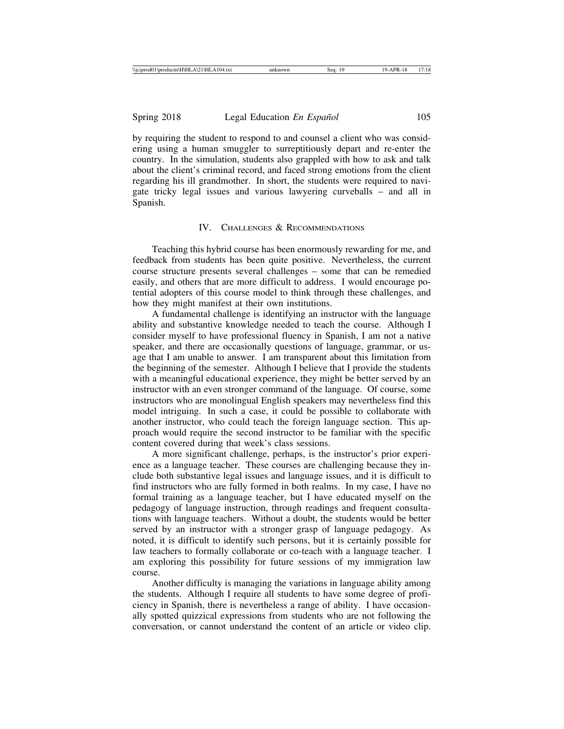by requiring the student to respond to and counsel a client who was considering using a human smuggler to surreptitiously depart and re-enter the country. In the simulation, students also grappled with how to ask and talk about the client's criminal record, and faced strong emotions from the client regarding his ill grandmother. In short, the students were required to navigate tricky legal issues and various lawyering curveballs – and all in Spanish.

## IV. CHALLENGES & RECOMMENDATIONS

Teaching this hybrid course has been enormously rewarding for me, and feedback from students has been quite positive. Nevertheless, the current course structure presents several challenges – some that can be remedied easily, and others that are more difficult to address. I would encourage potential adopters of this course model to think through these challenges, and how they might manifest at their own institutions.

A fundamental challenge is identifying an instructor with the language ability and substantive knowledge needed to teach the course. Although I consider myself to have professional fluency in Spanish, I am not a native speaker, and there are occasionally questions of language, grammar, or usage that I am unable to answer. I am transparent about this limitation from the beginning of the semester. Although I believe that I provide the students with a meaningful educational experience, they might be better served by an instructor with an even stronger command of the language. Of course, some instructors who are monolingual English speakers may nevertheless find this model intriguing. In such a case, it could be possible to collaborate with another instructor, who could teach the foreign language section. This approach would require the second instructor to be familiar with the specific content covered during that week's class sessions.

A more significant challenge, perhaps, is the instructor's prior experience as a language teacher. These courses are challenging because they include both substantive legal issues and language issues, and it is difficult to find instructors who are fully formed in both realms. In my case, I have no formal training as a language teacher, but I have educated myself on the pedagogy of language instruction, through readings and frequent consultations with language teachers. Without a doubt, the students would be better served by an instructor with a stronger grasp of language pedagogy. As noted, it is difficult to identify such persons, but it is certainly possible for law teachers to formally collaborate or co-teach with a language teacher. I am exploring this possibility for future sessions of my immigration law course.

Another difficulty is managing the variations in language ability among the students. Although I require all students to have some degree of proficiency in Spanish, there is nevertheless a range of ability. I have occasionally spotted quizzical expressions from students who are not following the conversation, or cannot understand the content of an article or video clip.